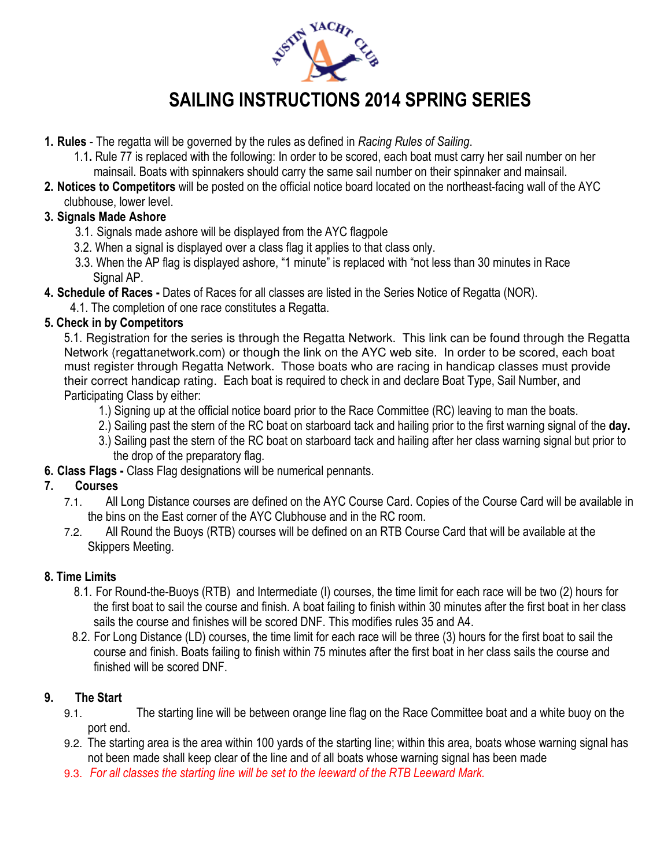

# SAILING INSTRUCTIONS 2014 SPRING SERIES

- 1. Rules The regatta will be governed by the rules as defined in Racing Rules of Sailing.
	- 1.1. Rule 77 is replaced with the following: In order to be scored, each boat must carry her sail number on her mainsail. Boats with spinnakers should carry the same sail number on their spinnaker and mainsail.
- 2. Notices to Competitors will be posted on the official notice board located on the northeast-facing wall of the AYC clubhouse, lower level.

### 3. Signals Made Ashore

- 3.1. Signals made ashore will be displayed from the AYC flagpole
- 3.2. When a signal is displayed over a class flag it applies to that class only.
- 3.3. When the AP flag is displayed ashore, "1 minute" is replaced with "not less than 30 minutes in Race Signal AP.
- 4. Schedule of Races Dates of Races for all classes are listed in the Series Notice of Regatta (NOR).
	- 4.1. The completion of one race constitutes a Regatta.

#### 5. Check in by Competitors

 5.1. Registration for the series is through the Regatta Network. This link can be found through the Regatta Network (regattanetwork.com) or though the link on the AYC web site. In order to be scored, each boat must register through Regatta Network. Those boats who are racing in handicap classes must provide their correct handicap rating. Each boat is required to check in and declare Boat Type, Sail Number, and Participating Class by either:

- 1.) Signing up at the official notice board prior to the Race Committee (RC) leaving to man the boats.
- 2.) Sailing past the stern of the RC boat on starboard tack and hailing prior to the first warning signal of the day.
- 3.) Sailing past the stern of the RC boat on starboard tack and hailing after her class warning signal but prior to the drop of the preparatory flag.
- 6. Class Flags Class Flag designations will be numerical pennants.

#### 7. Courses

- 7.1. All Long Distance courses are defined on the AYC Course Card. Copies of the Course Card will be available in the bins on the East corner of the AYC Clubhouse and in the RC room.
- 7.2. All Round the Buoys (RTB) courses will be defined on an RTB Course Card that will be available at the Skippers Meeting.

#### 8. Time Limits

- 8.1. For Round-the-Buoys (RTB) and Intermediate (I) courses, the time limit for each race will be two (2) hours for the first boat to sail the course and finish. A boat failing to finish within 30 minutes after the first boat in her class sails the course and finishes will be scored DNF. This modifies rules 35 and A4.
- 8.2. For Long Distance (LD) courses, the time limit for each race will be three (3) hours for the first boat to sail the course and finish. Boats failing to finish within 75 minutes after the first boat in her class sails the course and finished will be scored DNF

#### 9. The Start

- 9.1. The starting line will be between orange line flag on the Race Committee boat and a white buoy on the port end.
- 9.2. The starting area is the area within 100 yards of the starting line; within this area, boats whose warning signal has not been made shall keep clear of the line and of all boats whose warning signal has been made
- 9.3. For all classes the starting line will be set to the leeward of the RTB Leeward Mark.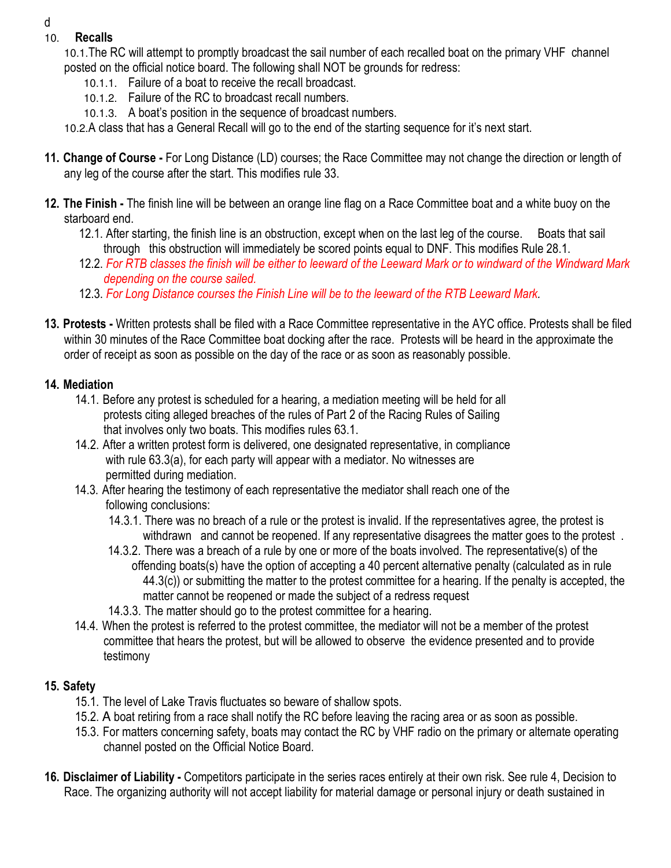#### d

#### 10. Recalls

- 10.1.The RC will attempt to promptly broadcast the sail number of each recalled boat on the primary VHF channel posted on the official notice board. The following shall NOT be grounds for redress:
	- 10.1.1. Failure of a boat to receive the recall broadcast.
	- 10.1.2. Failure of the RC to broadcast recall numbers.
	- 10.1.3. A boat's position in the sequence of broadcast numbers.
- 10.2.A class that has a General Recall will go to the end of the starting sequence for it's next start.
- 11. Change of Course For Long Distance (LD) courses; the Race Committee may not change the direction or length of any leg of the course after the start. This modifies rule 33.
- 12. The Finish The finish line will be between an orange line flag on a Race Committee boat and a white buoy on the starboard end.
	- 12.1. After starting, the finish line is an obstruction, except when on the last leg of the course. Boats that sail through this obstruction will immediately be scored points equal to DNF. This modifies Rule 28.1.
	- 12.2. For RTB classes the finish will be either to leeward of the Leeward Mark or to windward of the Windward Mark depending on the course sailed.
	- 12.3. For Long Distance courses the Finish Line will be to the leeward of the RTB Leeward Mark.
- 13. Protests Written protests shall be filed with a Race Committee representative in the AYC office. Protests shall be filed within 30 minutes of the Race Committee boat docking after the race. Protests will be heard in the approximate the order of receipt as soon as possible on the day of the race or as soon as reasonably possible.

#### 14. Mediation

- 14.1. Before any protest is scheduled for a hearing, a mediation meeting will be held for all protests citing alleged breaches of the rules of Part 2 of the Racing Rules of Sailing that involves only two boats. This modifies rules 63.1.
- 14.2. After a written protest form is delivered, one designated representative, in compliance with rule 63.3(a), for each party will appear with a mediator. No witnesses are permitted during mediation.
- 14.3. After hearing the testimony of each representative the mediator shall reach one of the following conclusions:
	- 14.3.1. There was no breach of a rule or the protest is invalid. If the representatives agree, the protest is withdrawn and cannot be reopened. If any representative disagrees the matter goes to the protest.
	- 14.3.2. There was a breach of a rule by one or more of the boats involved. The representative(s) of the offending boats(s) have the option of accepting a 40 percent alternative penalty (calculated as in rule 44.3(c)) or submitting the matter to the protest committee for a hearing. If the penalty is accepted, the matter cannot be reopened or made the subject of a redress request
	- 14.3.3. The matter should go to the protest committee for a hearing.
- 14.4. When the protest is referred to the protest committee, the mediator will not be a member of the protest committee that hears the protest, but will be allowed to observe the evidence presented and to provide testimony

## 15. Safety

- 15.1. The level of Lake Travis fluctuates so beware of shallow spots.
- 15.2. A boat retiring from a race shall notify the RC before leaving the racing area or as soon as possible.
- 15.3. For matters concerning safety, boats may contact the RC by VHF radio on the primary or alternate operating channel posted on the Official Notice Board.
- 16. Disclaimer of Liability Competitors participate in the series races entirely at their own risk. See rule 4, Decision to Race. The organizing authority will not accept liability for material damage or personal injury or death sustained in